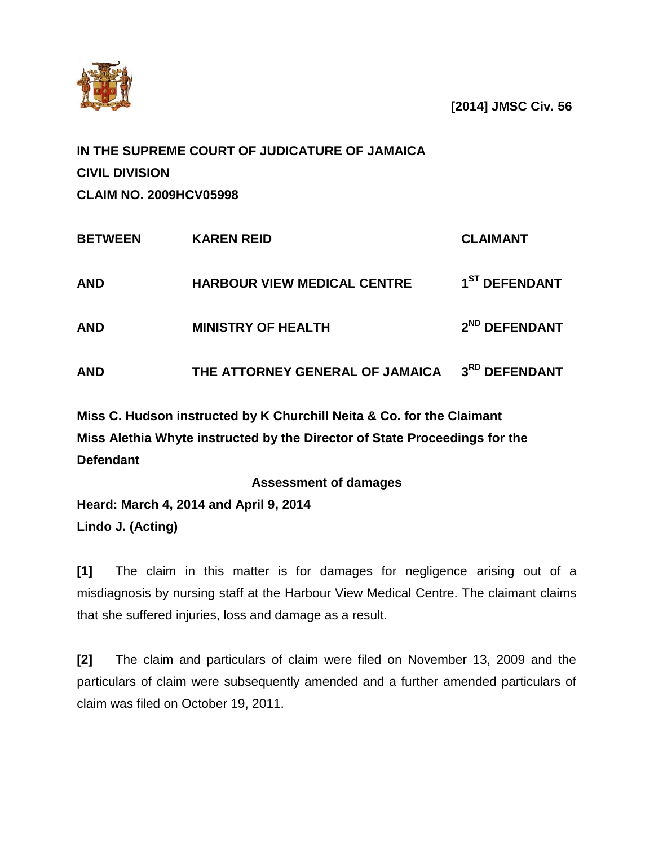

**[2014] JMSC Civ. 56**

|                               | IN THE SUPREME COURT OF JUDICATURE OF JAMAICA |                 |
|-------------------------------|-----------------------------------------------|-----------------|
| <b>CIVIL DIVISION</b>         |                                               |                 |
| <b>CLAIM NO. 2009HCV05998</b> |                                               |                 |
| <b>BETWEEN</b>                | <b>KAREN REID</b>                             | <b>CLAIMANT</b> |

| <b>AND</b> | <b>HARBOUR VIEW MEDICAL CENTRE</b> | 1 <sup>ST</sup> DEFENDANT |
|------------|------------------------------------|---------------------------|
| <b>AND</b> | <b>MINISTRY OF HEALTH</b>          | 2 <sup>ND</sup> DEFENDANT |
| <b>AND</b> | THE ATTORNEY GENERAL OF JAMAICA    | 3RD DEFENDANT             |

**Miss C. Hudson instructed by K Churchill Neita & Co. for the Claimant Miss Alethia Whyte instructed by the Director of State Proceedings for the Defendant**

**Assessment of damages**

**Heard: March 4, 2014 and April 9, 2014 Lindo J. (Acting)**

**[1]** The claim in this matter is for damages for negligence arising out of a misdiagnosis by nursing staff at the Harbour View Medical Centre. The claimant claims that she suffered injuries, loss and damage as a result.

**[2]** The claim and particulars of claim were filed on November 13, 2009 and the particulars of claim were subsequently amended and a further amended particulars of claim was filed on October 19, 2011.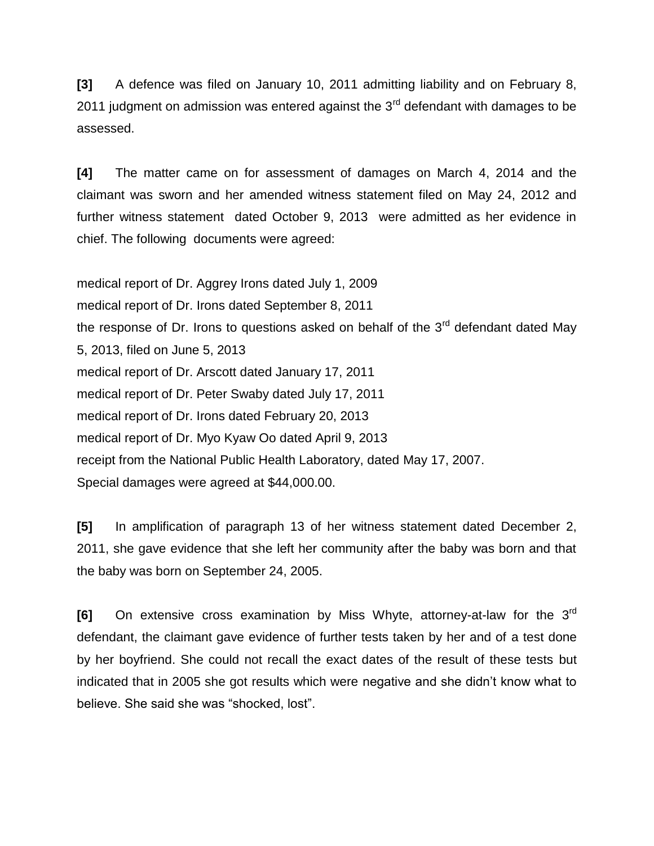**[3]** A defence was filed on January 10, 2011 admitting liability and on February 8, 2011 judgment on admission was entered against the  $3<sup>rd</sup>$  defendant with damages to be assessed.

**[4]** The matter came on for assessment of damages on March 4, 2014 and the claimant was sworn and her amended witness statement filed on May 24, 2012 and further witness statement dated October 9, 2013 were admitted as her evidence in chief. The following documents were agreed:

medical report of Dr. Aggrey Irons dated July 1, 2009 medical report of Dr. Irons dated September 8, 2011 the response of Dr. Irons to questions asked on behalf of the  $3<sup>rd</sup>$  defendant dated May 5, 2013, filed on June 5, 2013 medical report of Dr. Arscott dated January 17, 2011 medical report of Dr. Peter Swaby dated July 17, 2011 medical report of Dr. Irons dated February 20, 2013 medical report of Dr. Myo Kyaw Oo dated April 9, 2013 receipt from the National Public Health Laboratory, dated May 17, 2007. Special damages were agreed at \$44,000.00.

**[5]** In amplification of paragraph 13 of her witness statement dated December 2, 2011, she gave evidence that she left her community after the baby was born and that the baby was born on September 24, 2005.

**[6]** On extensive cross examination by Miss Whyte, attorney-at-law for the 3rd defendant, the claimant gave evidence of further tests taken by her and of a test done by her boyfriend. She could not recall the exact dates of the result of these tests but indicated that in 2005 she got results which were negative and she didn't know what to believe. She said she was "shocked, lost".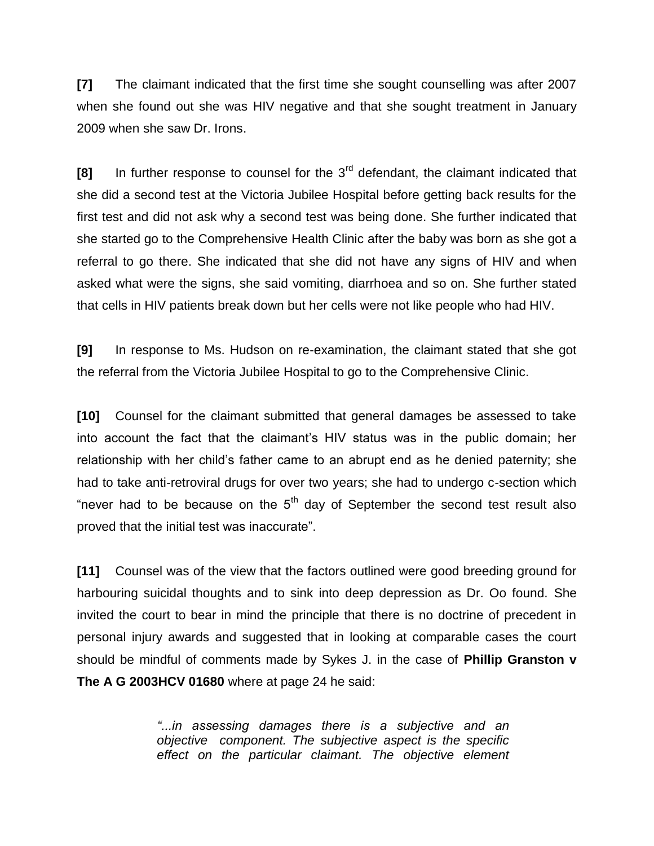**[7]** The claimant indicated that the first time she sought counselling was after 2007 when she found out she was HIV negative and that she sought treatment in January 2009 when she saw Dr. Irons.

**[8]** In further response to counsel for the 3rd defendant, the claimant indicated that she did a second test at the Victoria Jubilee Hospital before getting back results for the first test and did not ask why a second test was being done. She further indicated that she started go to the Comprehensive Health Clinic after the baby was born as she got a referral to go there. She indicated that she did not have any signs of HIV and when asked what were the signs, she said vomiting, diarrhoea and so on. She further stated that cells in HIV patients break down but her cells were not like people who had HIV.

**[9]** In response to Ms. Hudson on re-examination, the claimant stated that she got the referral from the Victoria Jubilee Hospital to go to the Comprehensive Clinic.

**[10]** Counsel for the claimant submitted that general damages be assessed to take into account the fact that the claimant's HIV status was in the public domain; her relationship with her child's father came to an abrupt end as he denied paternity; she had to take anti-retroviral drugs for over two years; she had to undergo c-section which "never had to be because on the  $5<sup>th</sup>$  day of September the second test result also proved that the initial test was inaccurate".

**[11]** Counsel was of the view that the factors outlined were good breeding ground for harbouring suicidal thoughts and to sink into deep depression as Dr. Oo found. She invited the court to bear in mind the principle that there is no doctrine of precedent in personal injury awards and suggested that in looking at comparable cases the court should be mindful of comments made by Sykes J. in the case of **Phillip Granston v The A G 2003HCV 01680** where at page 24 he said:

> *"...in assessing damages there is a subjective and an objective component. The subjective aspect is the specific effect on the particular claimant. The objective element*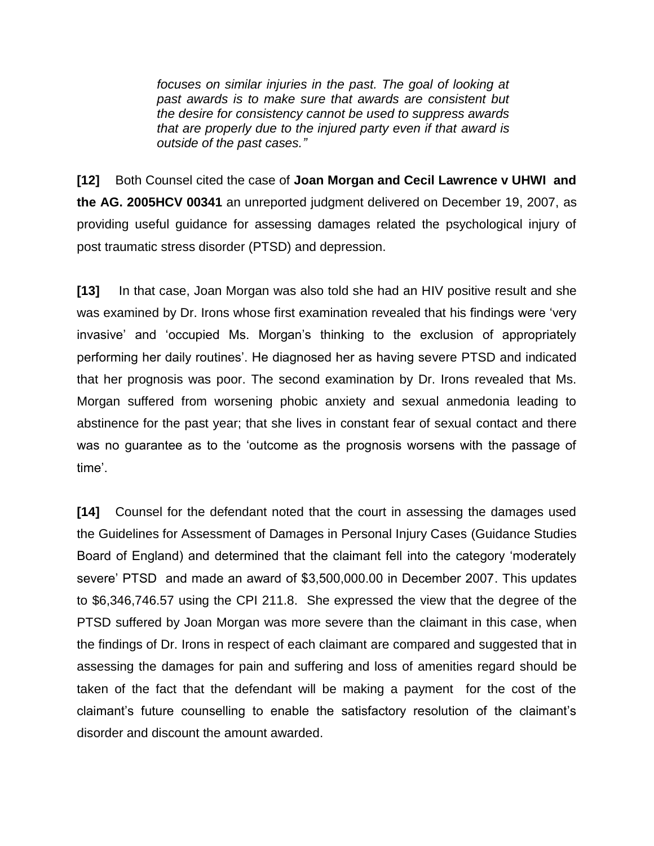*focuses on similar injuries in the past. The goal of looking at past awards is to make sure that awards are consistent but the desire for consistency cannot be used to suppress awards that are properly due to the injured party even if that award is outside of the past cases."*

**[12]** Both Counsel cited the case of **Joan Morgan and Cecil Lawrence v UHWI and the AG. 2005HCV 00341** an unreported judgment delivered on December 19, 2007, as providing useful guidance for assessing damages related the psychological injury of post traumatic stress disorder (PTSD) and depression.

**[13]** In that case, Joan Morgan was also told she had an HIV positive result and she was examined by Dr. Irons whose first examination revealed that his findings were 'very invasive' and 'occupied Ms. Morgan's thinking to the exclusion of appropriately performing her daily routines'. He diagnosed her as having severe PTSD and indicated that her prognosis was poor. The second examination by Dr. Irons revealed that Ms. Morgan suffered from worsening phobic anxiety and sexual anmedonia leading to abstinence for the past year; that she lives in constant fear of sexual contact and there was no guarantee as to the 'outcome as the prognosis worsens with the passage of time'.

**[14]** Counsel for the defendant noted that the court in assessing the damages used the Guidelines for Assessment of Damages in Personal Injury Cases (Guidance Studies Board of England) and determined that the claimant fell into the category 'moderately severe' PTSD and made an award of \$3,500,000.00 in December 2007. This updates to \$6,346,746.57 using the CPI 211.8. She expressed the view that the degree of the PTSD suffered by Joan Morgan was more severe than the claimant in this case, when the findings of Dr. Irons in respect of each claimant are compared and suggested that in assessing the damages for pain and suffering and loss of amenities regard should be taken of the fact that the defendant will be making a payment for the cost of the claimant's future counselling to enable the satisfactory resolution of the claimant's disorder and discount the amount awarded.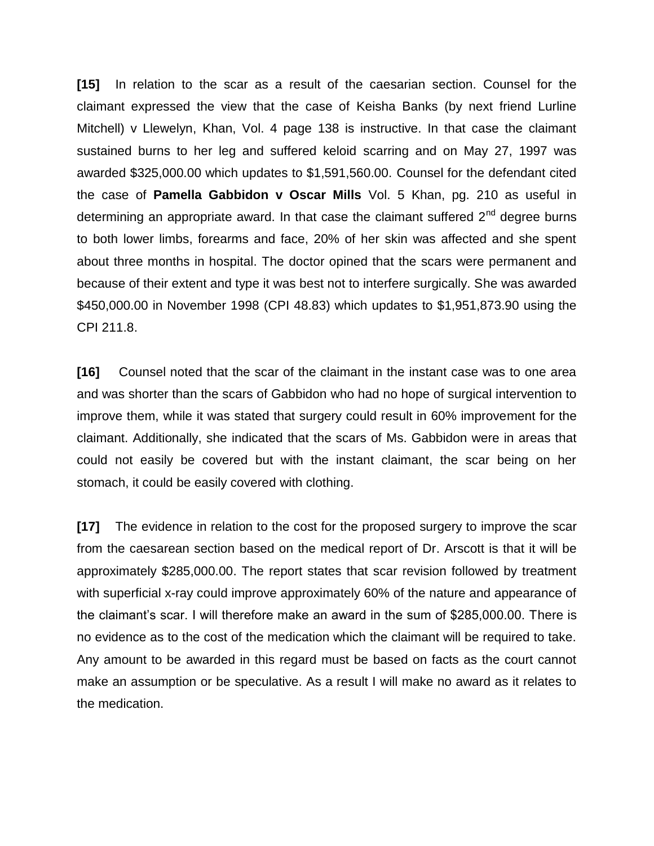**[15]** In relation to the scar as a result of the caesarian section. Counsel for the claimant expressed the view that the case of Keisha Banks (by next friend Lurline Mitchell) v Llewelyn, Khan, Vol. 4 page 138 is instructive. In that case the claimant sustained burns to her leg and suffered keloid scarring and on May 27, 1997 was awarded \$325,000.00 which updates to \$1,591,560.00. Counsel for the defendant cited the case of **Pamella Gabbidon v Oscar Mills** Vol. 5 Khan, pg. 210 as useful in determining an appropriate award. In that case the claimant suffered  $2<sup>nd</sup>$  degree burns to both lower limbs, forearms and face, 20% of her skin was affected and she spent about three months in hospital. The doctor opined that the scars were permanent and because of their extent and type it was best not to interfere surgically. She was awarded \$450,000.00 in November 1998 (CPI 48.83) which updates to \$1,951,873.90 using the CPI 211.8.

**[16]** Counsel noted that the scar of the claimant in the instant case was to one area and was shorter than the scars of Gabbidon who had no hope of surgical intervention to improve them, while it was stated that surgery could result in 60% improvement for the claimant. Additionally, she indicated that the scars of Ms. Gabbidon were in areas that could not easily be covered but with the instant claimant, the scar being on her stomach, it could be easily covered with clothing.

**[17]** The evidence in relation to the cost for the proposed surgery to improve the scar from the caesarean section based on the medical report of Dr. Arscott is that it will be approximately \$285,000.00. The report states that scar revision followed by treatment with superficial x-ray could improve approximately 60% of the nature and appearance of the claimant's scar. I will therefore make an award in the sum of \$285,000.00. There is no evidence as to the cost of the medication which the claimant will be required to take. Any amount to be awarded in this regard must be based on facts as the court cannot make an assumption or be speculative. As a result I will make no award as it relates to the medication.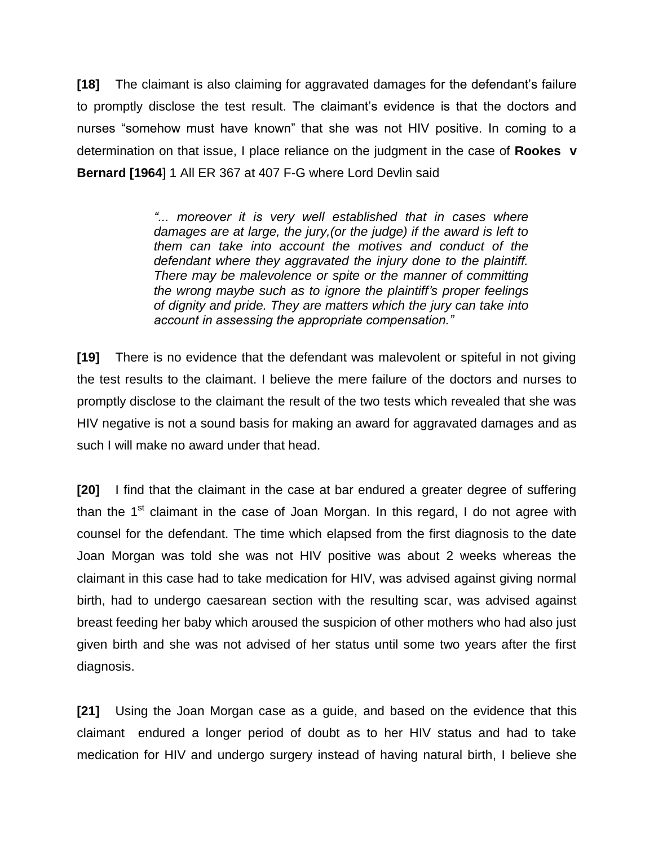**[18]** The claimant is also claiming for aggravated damages for the defendant's failure to promptly disclose the test result. The claimant's evidence is that the doctors and nurses "somehow must have known" that she was not HIV positive. In coming to a determination on that issue, I place reliance on the judgment in the case of **Rookes v Bernard [1964**] 1 All ER 367 at 407 F-G where Lord Devlin said

> *"... moreover it is very well established that in cases where damages are at large, the jury,(or the judge) if the award is left to them can take into account the motives and conduct of the defendant where they aggravated the injury done to the plaintiff. There may be malevolence or spite or the manner of committing the wrong maybe such as to ignore the plaintiff's proper feelings of dignity and pride. They are matters which the jury can take into account in assessing the appropriate compensation."*

**[19]** There is no evidence that the defendant was malevolent or spiteful in not giving the test results to the claimant. I believe the mere failure of the doctors and nurses to promptly disclose to the claimant the result of the two tests which revealed that she was HIV negative is not a sound basis for making an award for aggravated damages and as such I will make no award under that head.

**[20]** I find that the claimant in the case at bar endured a greater degree of suffering than the  $1<sup>st</sup>$  claimant in the case of Joan Morgan. In this regard, I do not agree with counsel for the defendant. The time which elapsed from the first diagnosis to the date Joan Morgan was told she was not HIV positive was about 2 weeks whereas the claimant in this case had to take medication for HIV, was advised against giving normal birth, had to undergo caesarean section with the resulting scar, was advised against breast feeding her baby which aroused the suspicion of other mothers who had also just given birth and she was not advised of her status until some two years after the first diagnosis.

**[21]** Using the Joan Morgan case as a guide, and based on the evidence that this claimant endured a longer period of doubt as to her HIV status and had to take medication for HIV and undergo surgery instead of having natural birth, I believe she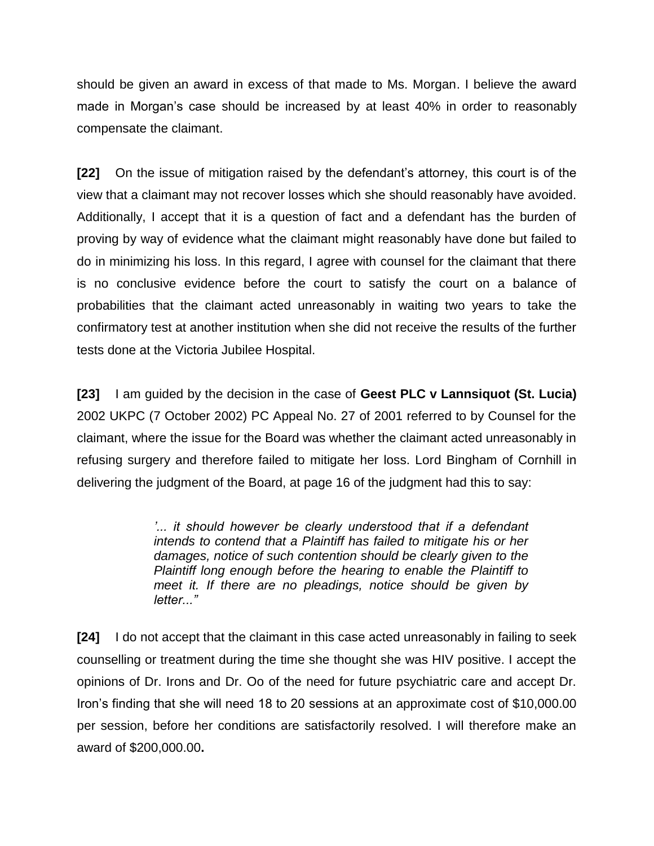should be given an award in excess of that made to Ms. Morgan. I believe the award made in Morgan's case should be increased by at least 40% in order to reasonably compensate the claimant.

**[22]** On the issue of mitigation raised by the defendant's attorney, this court is of the view that a claimant may not recover losses which she should reasonably have avoided. Additionally, I accept that it is a question of fact and a defendant has the burden of proving by way of evidence what the claimant might reasonably have done but failed to do in minimizing his loss. In this regard, I agree with counsel for the claimant that there is no conclusive evidence before the court to satisfy the court on a balance of probabilities that the claimant acted unreasonably in waiting two years to take the confirmatory test at another institution when she did not receive the results of the further tests done at the Victoria Jubilee Hospital.

**[23]** I am guided by the decision in the case of **Geest PLC v Lannsiquot (St. Lucia)** 2002 UKPC (7 October 2002) PC Appeal No. 27 of 2001 referred to by Counsel for the claimant, where the issue for the Board was whether the claimant acted unreasonably in refusing surgery and therefore failed to mitigate her loss. Lord Bingham of Cornhill in delivering the judgment of the Board, at page 16 of the judgment had this to say:

> *'... it should however be clearly understood that if a defendant intends to contend that a Plaintiff has failed to mitigate his or her damages, notice of such contention should be clearly given to the Plaintiff long enough before the hearing to enable the Plaintiff to meet it. If there are no pleadings, notice should be given by letter..."*

**[24]** I do not accept that the claimant in this case acted unreasonably in failing to seek counselling or treatment during the time she thought she was HIV positive. I accept the opinions of Dr. Irons and Dr. Oo of the need for future psychiatric care and accept Dr. Iron's finding that she will need 18 to 20 sessions at an approximate cost of \$10,000.00 per session, before her conditions are satisfactorily resolved. I will therefore make an award of \$200,000.00**.**